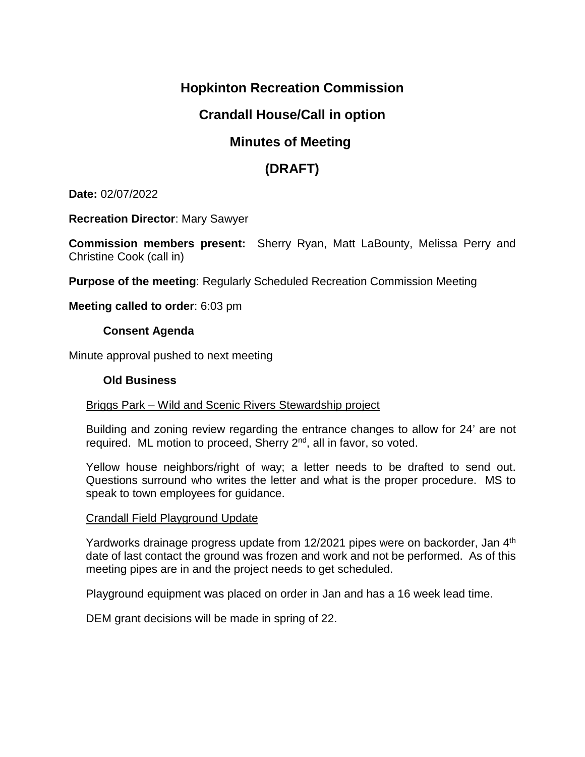## **Hopkinton Recreation Commission**

### **Crandall House/Call in option**

### **Minutes of Meeting**

# **(DRAFT)**

**Date:** 02/07/2022

**Recreation Director**: Mary Sawyer

**Commission members present:** Sherry Ryan, Matt LaBounty, Melissa Perry and Christine Cook (call in)

**Purpose of the meeting**: Regularly Scheduled Recreation Commission Meeting

**Meeting called to order**: 6:03 pm

#### **Consent Agenda**

Minute approval pushed to next meeting

#### **Old Business**

#### Briggs Park – Wild and Scenic Rivers Stewardship project

Building and zoning review regarding the entrance changes to allow for 24' are not required. ML motion to proceed, Sherry  $2<sup>nd</sup>$ , all in favor, so voted.

Yellow house neighbors/right of way; a letter needs to be drafted to send out. Questions surround who writes the letter and what is the proper procedure. MS to speak to town employees for guidance.

#### Crandall Field Playground Update

Yardworks drainage progress update from 12/2021 pipes were on backorder, Jan 4<sup>th</sup> date of last contact the ground was frozen and work and not be performed. As of this meeting pipes are in and the project needs to get scheduled.

Playground equipment was placed on order in Jan and has a 16 week lead time.

DEM grant decisions will be made in spring of 22.